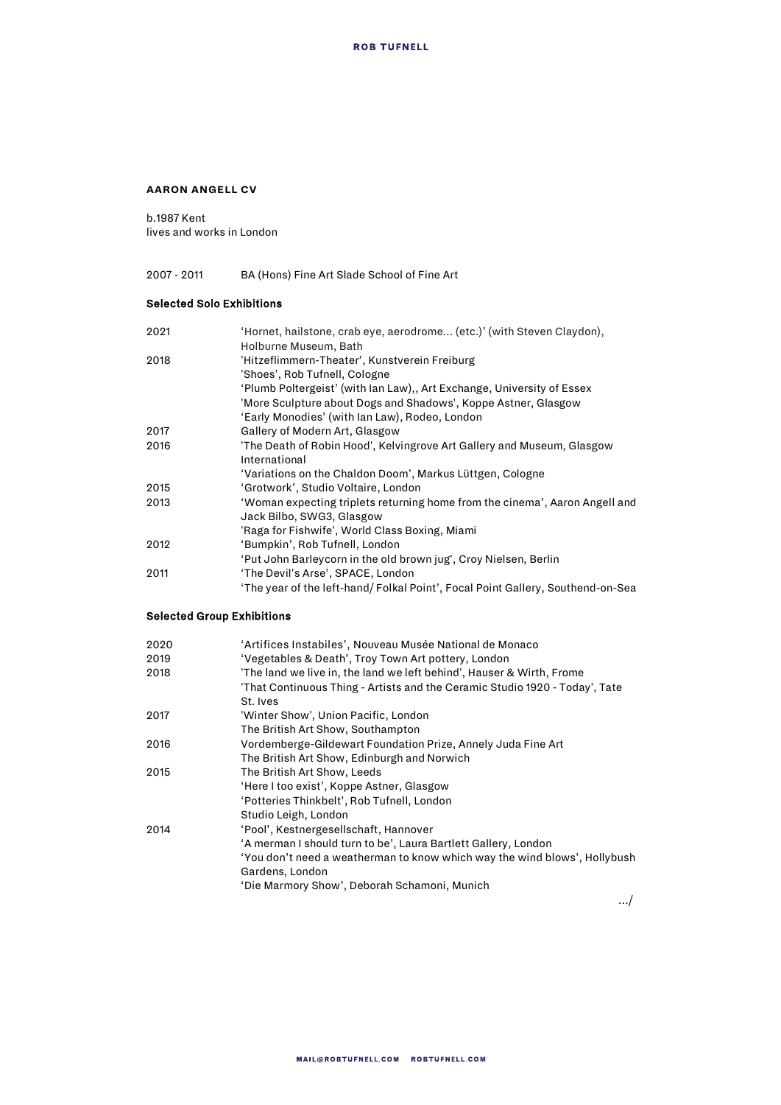#### **AARON ANGELL CV**

b.1987 Kent lives and works in London

# 2007 - 2011 BA (Hons) Fine Art Slade School of Fine Art

### Selected Solo Exhibitions

| 2021 | 'Hornet, hailstone, crab eye, aerodrome (etc.)' (with Steven Claydon),          |
|------|---------------------------------------------------------------------------------|
|      | Holburne Museum, Bath                                                           |
| 2018 | 'Hitzeflimmern-Theater', Kunstverein Freiburg                                   |
|      | 'Shoes', Rob Tufnell, Cologne                                                   |
|      | 'Plumb Poltergeist' (with Ian Law),, Art Exchange, University of Essex          |
|      | 'More Sculpture about Dogs and Shadows', Koppe Astner, Glasgow                  |
|      | 'Early Monodies' (with Ian Law), Rodeo, London                                  |
| 2017 | Gallery of Modern Art, Glasgow                                                  |
| 2016 | 'The Death of Robin Hood', Kelvingrove Art Gallery and Museum, Glasgow          |
|      | International                                                                   |
|      | 'Variations on the Chaldon Doom', Markus Lüttgen, Cologne                       |
| 2015 | 'Grotwork', Studio Voltaire, London                                             |
| 2013 | 'Woman expecting triplets returning home from the cinema', Aaron Angell and     |
|      | Jack Bilbo, SWG3, Glasgow                                                       |
|      | 'Raga for Fishwife', World Class Boxing, Miami                                  |
| 2012 | 'Bumpkin', Rob Tufnell, London                                                  |
|      | 'Put John Barleycorn in the old brown jug', Croy Nielsen, Berlin                |
| 2011 | 'The Devil's Arse', SPACE, London                                               |
|      | 'The year of the left-hand/ Folkal Point', Focal Point Gallery, Southend-on-Sea |

# Selected Group Exhibitions

| 2020 | 'Artifices Instabiles', Nouveau Musée National de Monaco                    |
|------|-----------------------------------------------------------------------------|
| 2019 | 'Vegetables & Death', Troy Town Art pottery, London                         |
| 2018 | 'The land we live in, the land we left behind', Hauser & Wirth, Frome       |
|      | 'That Continuous Thing - Artists and the Ceramic Studio 1920 - Today', Tate |
|      | St. Ives                                                                    |
| 2017 | 'Winter Show', Union Pacific, London                                        |
|      | The British Art Show, Southampton                                           |
| 2016 | Vordemberge-Gildewart Foundation Prize, Annely Juda Fine Art                |
|      | The British Art Show, Edinburgh and Norwich                                 |
| 2015 | The British Art Show, Leeds                                                 |
|      | 'Here I too exist', Koppe Astner, Glasgow                                   |
|      | 'Potteries Thinkbelt', Rob Tufnell, London                                  |
|      | Studio Leigh, London                                                        |
| 2014 | 'Pool', Kestnergesellschaft, Hannover                                       |
|      | 'A merman I should turn to be', Laura Bartlett Gallery, London              |
|      | 'You don't need a weatherman to know which way the wind blows', Hollybush   |
|      | Gardens, London                                                             |
|      | 'Die Marmory Show', Deborah Schamoni, Munich                                |

…/